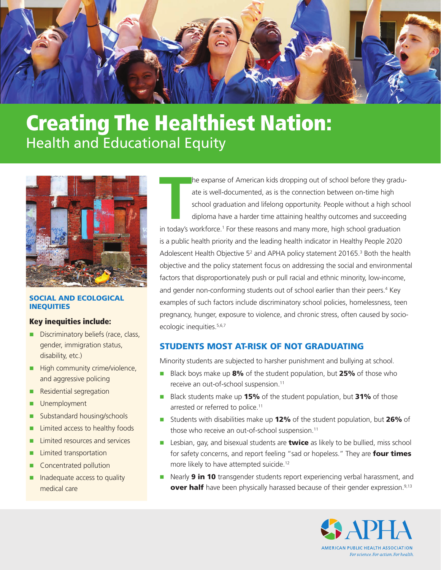

# Creating The Healthiest Nation: Health and Educational Equity



### SOCIAL AND ECOLOGICAL **INEQUITIES**

### Key inequities include:

- Discriminatory beliefs (race, class, gender, immigration status, disability, etc.)
- High community crime/violence, and aggressive policing
- Residential segregation
- **Unemployment**
- **Substandard housing/schools**
- Limited access to healthy foods
- **Limited resources and services**
- **Limited transportation**
- Concentrated pollution
- Inadequate access to quality medical care

**T** he expanse of American kids dropping out of school before they graduate is well-documented, as is the connection between on-time high school graduation and lifelong opportunity. People without a high school diploma have a harder time attaining healthy outcomes and succeeding in today's workforce.<sup>1</sup> For these reasons and many more, high school graduation is a public health priority and the leading health indicator in Healthy People 2020 Adolescent Health Objective 5<sup>2</sup> and APHA policy statement 20165.<sup>3</sup> Both the health objective and the policy statement focus on addressing the social and environmental factors that disproportionately push or pull racial and ethnic minority, low-income, and gender non-conforming students out of school earlier than their peers.<sup>4</sup> Key examples of such factors include discriminatory school policies, homelessness, teen pregnancy, hunger, exposure to violence, and chronic stress, often caused by socioecologic inequities.<sup>5,6,7</sup>

# STUDENTS MOST AT-RISK OF NOT GRADUATING

Minority students are subjected to harsher punishment and bullying at school.

- Black boys make up 8% of the student population, but 25% of those who receive an out-of-school suspension.<sup>11</sup>
- Black students make up 15% of the student population, but 31% of those arrested or referred to police.<sup>11</sup>
- Students with disabilities make up 12% of the student population, but 26% of those who receive an out-of-school suspension.<sup>11</sup>
- Lesbian, gay, and bisexual students are **twice** as likely to be bullied, miss school for safety concerns, and report feeling "sad or hopeless." They are four times more likely to have attempted suicide.12
- Nearly 9 in 10 transgender students report experiencing verbal harassment, and over half have been physically harassed because of their gender expression.<sup>9,13</sup>

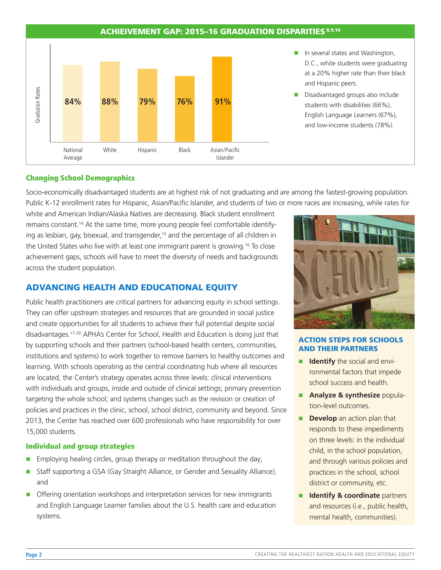# ACHIEIVEMENT GAP: 2015–16 GRADUATION DISPARITIES 8,9,10



- In several states and Washington, D.C., white students were graduating at a 20% higher rate than their black and Hispanic peers.
- Disadvantaged groups also include students with disabilities (66%), English Language Learners (67%), and low-income students (78%).

# Changing School Demographics

Socio-economically disadvantaged students are at highest risk of not graduating and are among the fastest-growing population. Public K-12 enrollment rates for Hispanic, Asian/Pacific Islander, and students of two or more races are increasing, while rates for

white and American Indian/Alaska Natives are decreasing. Black student enrollment remains constant.<sup>14</sup> At the same time, more young people feel comfortable identifying as lesbian, gay, bisexual, and transgender,<sup>15</sup> and the percentage of all children in the United States who live with at least one immigrant parent is growing.16 To close achievement gaps, schools will have to meet the diversity of needs and backgrounds across the student population.

# ADVANCING HEALTH AND EDUCATIONAL EQUITY

Public health practitioners are critical partners for advancing equity in school settings. They can offer upstream strategies and resources that are grounded in social justice and create opportunities for all students to achieve their full potential despite social disadvantages.<sup>17–20</sup> APHA's Center for School, Health and Education is doing just that<br>
by supporting schools and their partners (school-based health centers, communities, AND THEIR PARTNERS<br>
institutions and systems) to exercise to the center's conditions of the center's conditions of the social and environmental factors that impede reduced, the Center's strategy operates across three levels: clinical interventions with individuals and groups, inside and outside of clinical settings; primary prevention targeting the whole school; and systems changes such as the revision or creation of **Analyze & synthesize** popula-<br>policies and practices in the clinic, school, school district, community and beyond. Since tion-level outco 2013, the Center has reached over 600 professionals who have responsibility for over **Develop** an action plan that responds to these impediments 15,000 students.

- Employing healing circles, group therapy or meditation throughout the day; and through various policies and
- Staff supporting a GSA (Gay Straight Alliance, or Gender and Sexuality Alliance); practices in the school, school and and and  $\alpha$  and  $\alpha$  are  $\alpha$  and  $\alpha$  are  $\alpha$  and  $\alpha$  are  $\alpha$  and  $\alpha$  are  $\alpha$  and  $\alpha$  are  $\alpha$ .
- **Offering orientation workshops and interpretation services for new immigrants <b>Integral integral dentify & coordinate** partners and English Language Learner families about the U.S. health care and education and resources (i.e., public health, systems. mental health, communities).



- 
- 
- on three levels: in the individual Individual and group strategies child, in the school population,
	-